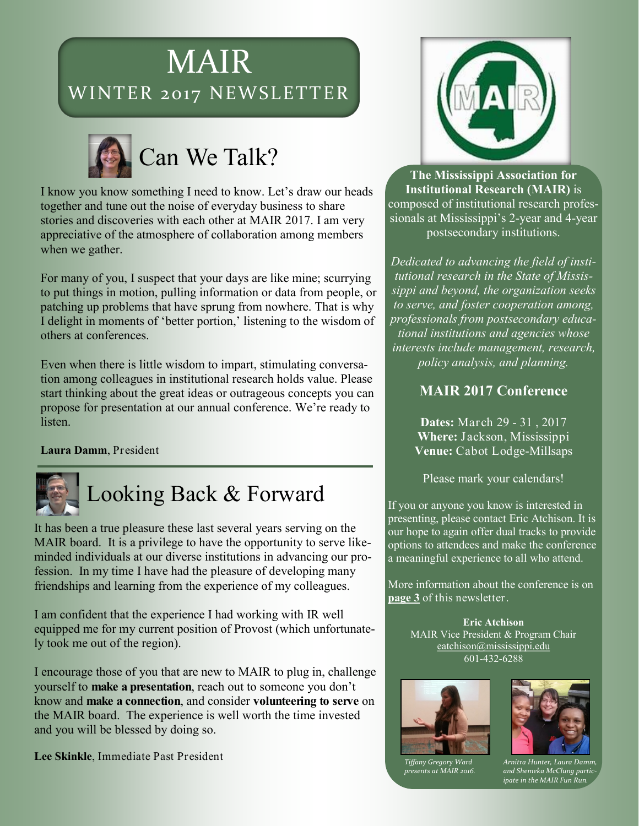# MAIR WINTER 2017 NEWSLETTER



I know you know something I need to know. Let's draw our heads together and tune out the noise of everyday business to share stories and discoveries with each other at MAIR 2017. I am very appreciative of the atmosphere of collaboration among members when we gather.

For many of you, I suspect that your days are like mine; scurrying to put things in motion, pulling information or data from people, or patching up problems that have sprung from nowhere. That is why I delight in moments of 'better portion,' listening to the wisdom of others at conferences.

Even when there is little wisdom to impart, stimulating conversation among colleagues in institutional research holds value. Please start thinking about the great ideas or outrageous concepts you can propose for presentation at our annual conference. We're ready to listen.

**Laura Damm**, President



Looking Back & Forward

It has been a true pleasure these last several years serving on the MAIR board. It is a privilege to have the opportunity to serve likeminded individuals at our diverse institutions in advancing our profession. In my time I have had the pleasure of developing many friendships and learning from the experience of my colleagues.

I am confident that the experience I had working with IR well equipped me for my current position of Provost (which unfortunately took me out of the region).

I encourage those of you that are new to MAIR to plug in, challenge yourself to **make a presentation**, reach out to someone you don't know and **make a connection**, and consider **volunteering to serve** on the MAIR board. The experience is well worth the time invested and you will be blessed by doing so.

Lee Skinkle, Immediate Past President



**The Mississippi Association for Institutional Research (MAIR)** is composed of institutional research professionals at Mississippi's 2-year and 4-year postsecondary institutions.

*Dedicated to advancing the field of institutional research in the State of Mississippi and beyond, the organization seeks to serve, and foster cooperation among, professionals from postsecondary educational institutions and agencies whose interests include management, research, policy analysis, and planning.* 

#### **MAIR 2017 Conference**

**Dates:** March 29 - 31 , 2017 **Where:** Jackson, Mississippi **Venue:** Cabot Lodge-Millsaps

Please mark your calendars!

If you or anyone you know is interested in presenting, please contact Eric Atchison. It is our hope to again offer dual tracks to provide options to attendees and make the conference a meaningful experience to all who attend.

More information about the conference is on **[page 3](#page-2-0)** of this newsletter.

> **Eric Atchison** MAIR Vice President & Program Chair eatchison@mississippi.edu 601-432-6288





*presents at MAIR 2016.* 

*Arnitra Hunter, Laura Damm, and Shemeka McClung participate in the MAIR Fun Run.*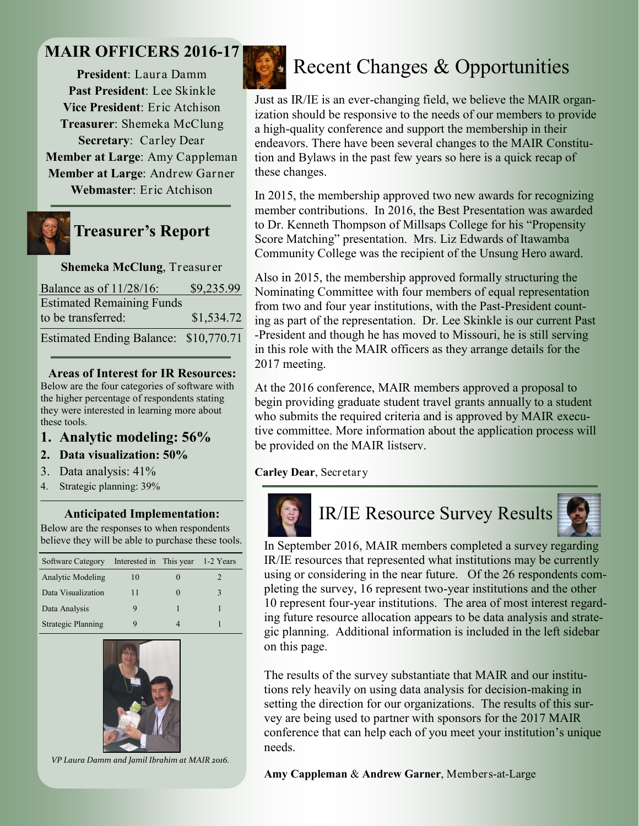### **MAIR OFFICERS 2016-17**

**President**: Laura Damm **Past President**: Lee Skinkle **Vice President**: Eric Atchison **Treasurer**: Shemeka McClung **Secretary**: Carley Dear **Member at Large**: Amy Cappleman **Member at Large**: Andrew Garner **Webmaster**: Eric Atchison



### **Treasurer's Report**

#### **Shemeka McClung**, Treasurer

| Balance as of 11/28/16:               | \$9,235.99 |
|---------------------------------------|------------|
| <b>Estimated Remaining Funds</b>      |            |
| to be transferred:                    | \$1,534.72 |
| Estimated Ending Balance: \$10,770.71 |            |

#### **Areas of Interest for IR Resources:**

Below are the four categories of software with the higher percentage of respondents stating they were interested in learning more about these tools.

#### **1. Analytic modeling: 56%**

#### **2. Data visualization: 50%**

- 3. Data analysis: 41%
- 4. Strategic planning: 39%

#### **Anticipated Implementation:**

Below are the responses to when respondents believe they will be able to purchase these tools.

| Software Category         | Interested in This year | 1-2 Years |
|---------------------------|-------------------------|-----------|
| <b>Analytic Modeling</b>  | 10                      |           |
| Data Visualization        | 11                      | 3         |
| Data Analysis             |                         |           |
| <b>Strategic Planning</b> | Q                       |           |



*VP Laura Damm and Jamil Ibrahim at MAIR 2016.*



## Recent Changes & Opportunities

Just as IR/IE is an ever-changing field, we believe the MAIR organization should be responsive to the needs of our members to provide a high-quality conference and support the membership in their endeavors. There have been several changes to the MAIR Constitution and Bylaws in the past few years so here is a quick recap of these changes.

In 2015, the membership approved two new awards for recognizing member contributions. In 2016, the Best Presentation was awarded to Dr. Kenneth Thompson of Millsaps College for his "Propensity Score Matching" presentation. Mrs. Liz Edwards of Itawamba Community College was the recipient of the Unsung Hero award.

Also in 2015, the membership approved formally structuring the Nominating Committee with four members of equal representation from two and four year institutions, with the Past-President counting as part of the representation. Dr. Lee Skinkle is our current Past -President and though he has moved to Missouri, he is still serving in this role with the MAIR officers as they arrange details for the 2017 meeting.

At the 2016 conference, MAIR members approved a proposal to begin providing graduate student travel grants annually to a student who submits the required criteria and is approved by MAIR executive committee. More information about the application process will be provided on the MAIR listserv.

**Carley Dear**, Secretary



# IR/IE Resource Survey Results



In September 2016, MAIR members completed a survey regarding IR/IE resources that represented what institutions may be currently using or considering in the near future. Of the 26 respondents completing the survey, 16 represent two-year institutions and the other 10 represent four-year institutions. The area of most interest regarding future resource allocation appears to be data analysis and strategic planning. Additional information is included in the left sidebar on this page.

The results of the survey substantiate that MAIR and our institutions rely heavily on using data analysis for decision-making in setting the direction for our organizations. The results of this survey are being used to partner with sponsors for the 2017 MAIR conference that can help each of you meet your institution's unique needs.

**Amy Cappleman** & **Andrew Garner**, Members-at-Large